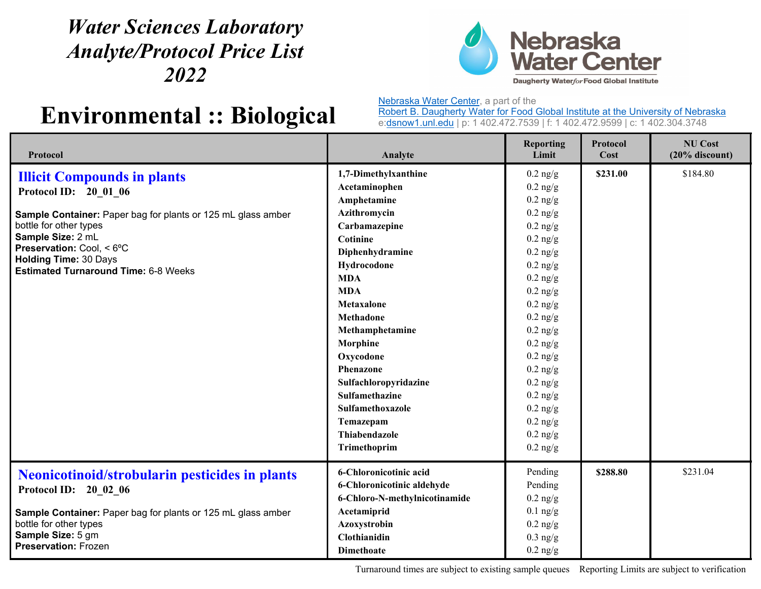## *Water Sciences Laboratory Analyte/Protocol Price List 2022*



## **Environmental :: Biological**

Nebraska Water Center, a part of the

Robert B. Daugherty Water for Food Global Institute at the University of Nebraska e:dsnow1.unl.edu | p: 1 402.472.7539 | f: 1 402.472.9599 | c: 1 402.304.3748

| Protocol                                                                                                                                                                                                                                                                               | Analyte                                                                                                                                                                                                                                                                                                                                                                                      | <b>Reporting</b><br>Limit                                                                                                                                                                                                                                                                                                                                                | <b>Protocol</b><br>Cost | <b>NU Cost</b><br>$(20%$ discount) |
|----------------------------------------------------------------------------------------------------------------------------------------------------------------------------------------------------------------------------------------------------------------------------------------|----------------------------------------------------------------------------------------------------------------------------------------------------------------------------------------------------------------------------------------------------------------------------------------------------------------------------------------------------------------------------------------------|--------------------------------------------------------------------------------------------------------------------------------------------------------------------------------------------------------------------------------------------------------------------------------------------------------------------------------------------------------------------------|-------------------------|------------------------------------|
| <b>Illicit Compounds in plants</b><br>Protocol ID: 20 01 06<br>Sample Container: Paper bag for plants or 125 mL glass amber<br>bottle for other types<br>Sample Size: 2 mL<br>Preservation: Cool, < 6°C<br><b>Holding Time: 30 Days</b><br><b>Estimated Turnaround Time: 6-8 Weeks</b> | 1,7-Dimethylxanthine<br>Acetaminophen<br>Amphetamine<br>Azithromycin<br>Carbamazepine<br>Cotinine<br>Diphenhydramine<br>Hydrocodone<br><b>MDA</b><br><b>MDA</b><br>Metaxalone<br><b>Methadone</b><br>Methamphetamine<br>Morphine<br>Oxycodone<br><b>Phenazone</b><br>Sulfachloropyridazine<br><b>Sulfamethazine</b><br>Sulfamethoxazole<br>Temazepam<br><b>Thiabendazole</b><br>Trimethoprim | $0.2$ ng/g<br>$0.2 \text{ ng/g}$<br>$0.2 \text{ ng/g}$<br>$0.2$ ng/g<br>$0.2$ ng/g<br>$0.2 \text{ ng/g}$<br>$0.2$ ng/g<br>$0.2$ ng/g<br>$0.2$ ng/g<br>$0.2$ ng/g<br>$0.2$ ng/g<br>$0.2 \text{ ng/g}$<br>$0.2$ ng/g<br>$0.2$ ng/g<br>$0.2$ ng/g<br>$0.2 \text{ ng/g}$<br>$0.2$ ng/g<br>$0.2$ ng/g<br>$0.2 \text{ ng/g}$<br>$0.2$ ng/g<br>$0.2$ ng/g<br>$0.2 \text{ ng/g}$ | \$231.00                | \$184.80                           |
| <b>Neonicotinoid/strobularin pesticides in plants</b><br>Protocol ID: 20 02 06<br>Sample Container: Paper bag for plants or 125 mL glass amber<br>bottle for other types<br>Sample Size: 5 gm<br><b>Preservation: Frozen</b>                                                           | 6-Chloronicotinic acid<br>6-Chloronicotinic aldehyde<br>6-Chloro-N-methylnicotinamide<br>Acetamiprid<br>Azoxystrobin<br><b>Clothianidin</b><br><b>Dimethoate</b>                                                                                                                                                                                                                             | Pending<br>Pending<br>$0.2 \text{ ng/g}$<br>$0.1$ ng/g<br>$0.2$ ng/g<br>$0.3$ ng/g<br>$0.2$ ng/g                                                                                                                                                                                                                                                                         | \$288.80                | \$231.04                           |

Turnaround times are subject to existing sample queues Reporting Limits are subject to verification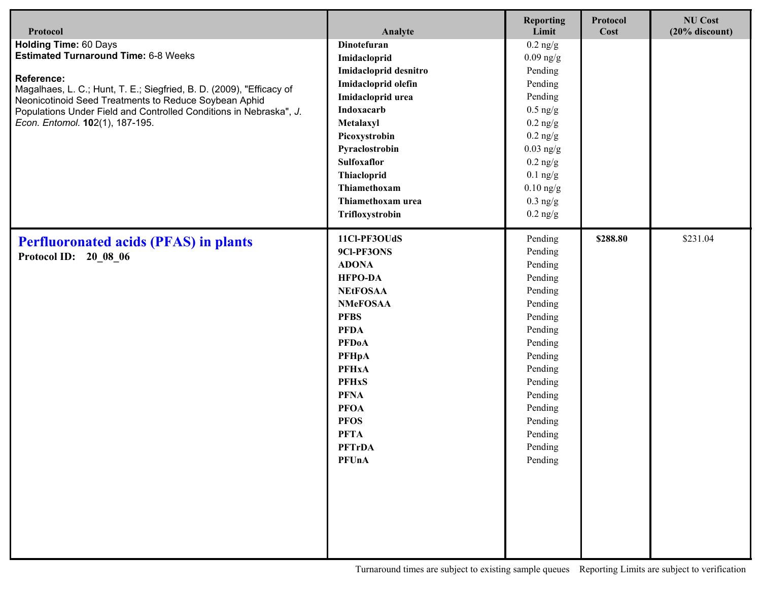| Protocol                                                                                                                                                                                                                                                                                                                                   | Analyte                                                                                                                                                                                                                                                                                                   | <b>Reporting</b><br>Limit                                                                                                                                                                                        | Protocol<br>Cost | <b>NU Cost</b><br>$(20%$ discount) |
|--------------------------------------------------------------------------------------------------------------------------------------------------------------------------------------------------------------------------------------------------------------------------------------------------------------------------------------------|-----------------------------------------------------------------------------------------------------------------------------------------------------------------------------------------------------------------------------------------------------------------------------------------------------------|------------------------------------------------------------------------------------------------------------------------------------------------------------------------------------------------------------------|------------------|------------------------------------|
| <b>Holding Time: 60 Days</b><br><b>Estimated Turnaround Time: 6-8 Weeks</b><br><b>Reference:</b><br>Magalhaes, L. C.; Hunt, T. E.; Siegfried, B. D. (2009), "Efficacy of<br>Neonicotinoid Seed Treatments to Reduce Soybean Aphid<br>Populations Under Field and Controlled Conditions in Nebraska", J.<br>Econ. Entomol. 102(1), 187-195. | <b>Dinotefuran</b><br>Imidacloprid<br>Imidacloprid desnitro<br>Imidacloprid olefin<br>Imidacloprid urea<br>Indoxacarb<br>Metalaxyl<br>Picoxystrobin<br>Pyraclostrobin<br>Sulfoxaflor<br>Thiacloprid<br>Thiamethoxam<br>Thiamethoxam urea                                                                  | $0.2$ ng/g<br>$0.09$ ng/g<br>Pending<br>Pending<br>Pending<br>$0.5$ ng/g<br>$0.2$ ng/g<br>$0.2$ ng/g<br>$0.03$ ng/g<br>$0.2$ ng/g<br>$0.1$ ng/g<br>$0.10$ ng/g<br>$0.3$ ng/g                                     |                  |                                    |
| <b>Perfluoronated acids (PFAS) in plants</b><br>Protocol ID: 20 08 06                                                                                                                                                                                                                                                                      | Trifloxystrobin<br>11Cl-PF3OUdS<br>9Cl-PF3ONS<br><b>ADONA</b><br><b>HFPO-DA</b><br><b>NEtFOSAA</b><br><b>NMeFOSAA</b><br><b>PFBS</b><br><b>PFDA</b><br><b>PFDoA</b><br><b>PFHpA</b><br><b>PFHxA</b><br><b>PFHxS</b><br><b>PFNA</b><br><b>PFOA</b><br><b>PFOS</b><br><b>PFTA</b><br><b>PFTrDA</b><br>PFUnA | $0.2$ ng/g<br>Pending<br>Pending<br>Pending<br>Pending<br>Pending<br>Pending<br>Pending<br>Pending<br>Pending<br>Pending<br>Pending<br>Pending<br>Pending<br>Pending<br>Pending<br>Pending<br>Pending<br>Pending | \$288.80         | \$231.04                           |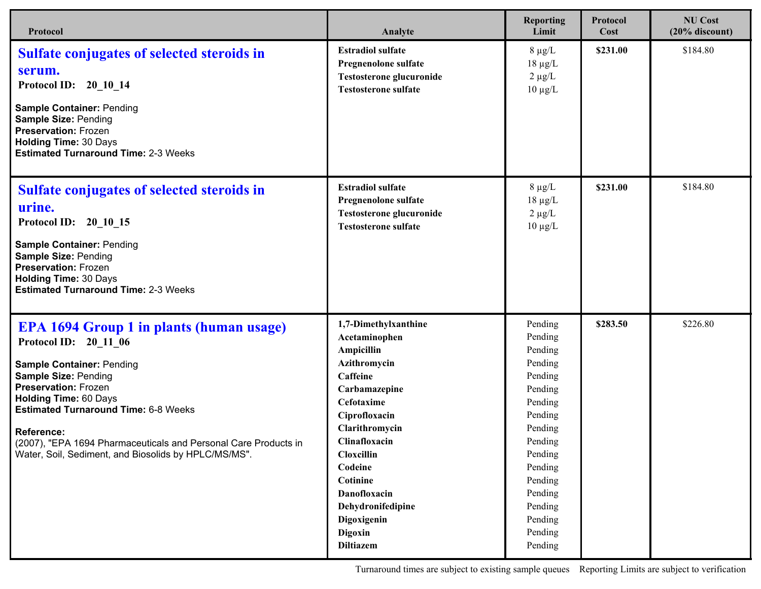| Protocol                                                                                                                                                                                                                                                                                                                                                                                           | Analyte                                                                                                                                                                                                                                                                                                  | <b>Reporting</b><br>Limit                                                                                                                                                                          | Protocol<br>Cost | <b>NU Cost</b><br>$(20%$ discount) |
|----------------------------------------------------------------------------------------------------------------------------------------------------------------------------------------------------------------------------------------------------------------------------------------------------------------------------------------------------------------------------------------------------|----------------------------------------------------------------------------------------------------------------------------------------------------------------------------------------------------------------------------------------------------------------------------------------------------------|----------------------------------------------------------------------------------------------------------------------------------------------------------------------------------------------------|------------------|------------------------------------|
| <b>Sulfate conjugates of selected steroids in</b><br>serum.<br>Protocol ID: 20 10 14<br><b>Sample Container: Pending</b><br><b>Sample Size: Pending</b><br><b>Preservation: Frozen</b><br><b>Holding Time: 30 Days</b><br><b>Estimated Turnaround Time: 2-3 Weeks</b>                                                                                                                              | <b>Estradiol sulfate</b><br>Pregnenolone sulfate<br><b>Testosterone glucuronide</b><br><b>Testosterone sulfate</b>                                                                                                                                                                                       | $8 \mu g/L$<br>$18 \mu g/L$<br>$2 \mu g/L$<br>$10 \mu g/L$                                                                                                                                         | \$231.00         | \$184.80                           |
| <b>Sulfate conjugates of selected steroids in</b><br>urine.<br>Protocol ID: 20 10 15<br><b>Sample Container: Pending</b><br><b>Sample Size: Pending</b><br><b>Preservation: Frozen</b><br><b>Holding Time: 30 Days</b><br><b>Estimated Turnaround Time: 2-3 Weeks</b>                                                                                                                              | <b>Estradiol sulfate</b><br>Pregnenolone sulfate<br><b>Testosterone glucuronide</b><br><b>Testosterone sulfate</b>                                                                                                                                                                                       | $8 \mu g/L$<br>$18 \mu g/L$<br>$2 \mu g/L$<br>$10 \mu g/L$                                                                                                                                         | \$231.00         | \$184.80                           |
| <b>EPA 1694 Group 1 in plants (human usage)</b><br>Protocol ID: 20 11 06<br><b>Sample Container: Pending</b><br>Sample Size: Pending<br><b>Preservation: Frozen</b><br><b>Holding Time: 60 Days</b><br><b>Estimated Turnaround Time: 6-8 Weeks</b><br><b>Reference:</b><br>(2007), "EPA 1694 Pharmaceuticals and Personal Care Products in<br>Water, Soil, Sediment, and Biosolids by HPLC/MS/MS". | 1,7-Dimethylxanthine<br>Acetaminophen<br><b>Ampicillin</b><br>Azithromycin<br><b>Caffeine</b><br>Carbamazepine<br>Cefotaxime<br>Ciprofloxacin<br>Clarithromycin<br>Clinafloxacin<br>Cloxcillin<br>Codeine<br>Cotinine<br>Danofloxacin<br>Dehydronifedipine<br>Digoxigenin<br>Digoxin<br><b>Diltiazem</b> | Pending<br>Pending<br>Pending<br>Pending<br>Pending<br>Pending<br>Pending<br>Pending<br>Pending<br>Pending<br>Pending<br>Pending<br>Pending<br>Pending<br>Pending<br>Pending<br>Pending<br>Pending | \$283.50         | \$226.80                           |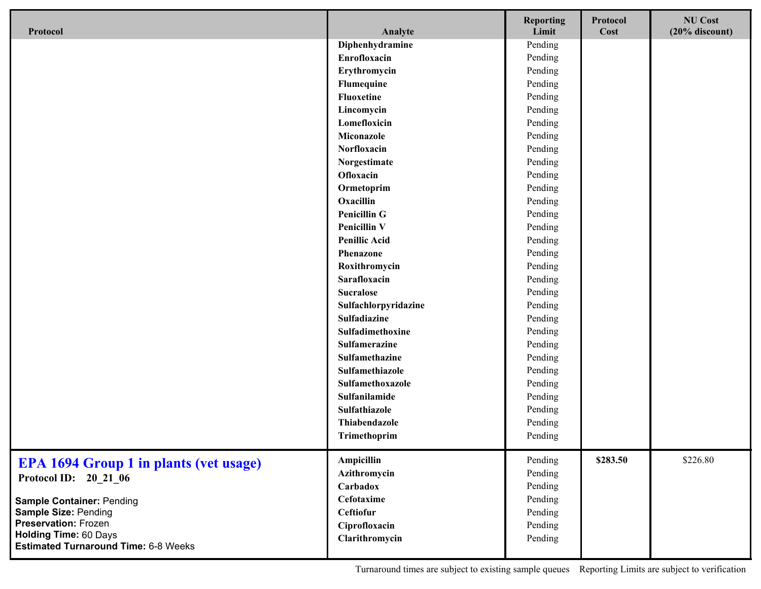| Protocol                                                                    | Analyte              | <b>Reporting</b><br>Limit | Protocol<br>Cost | <b>NU Cost</b><br>$(20%$ discount) |
|-----------------------------------------------------------------------------|----------------------|---------------------------|------------------|------------------------------------|
|                                                                             | Diphenhydramine      | Pending                   |                  |                                    |
|                                                                             | Enrofloxacin         | Pending                   |                  |                                    |
|                                                                             | Erythromycin         | Pending                   |                  |                                    |
|                                                                             | Flumequine           | Pending                   |                  |                                    |
|                                                                             | Fluoxetine           | Pending                   |                  |                                    |
|                                                                             | Lincomycin           | Pending                   |                  |                                    |
|                                                                             | Lomefloxicin         | Pending                   |                  |                                    |
|                                                                             | Miconazole           | Pending                   |                  |                                    |
|                                                                             | Norfloxacin          | Pending                   |                  |                                    |
|                                                                             | Norgestimate         | Pending                   |                  |                                    |
|                                                                             | Ofloxacin            | Pending                   |                  |                                    |
|                                                                             | Ormetoprim           | Pending                   |                  |                                    |
|                                                                             | Oxacillin            | Pending                   |                  |                                    |
|                                                                             | <b>Penicillin G</b>  | Pending                   |                  |                                    |
|                                                                             | <b>Penicillin V</b>  | Pending                   |                  |                                    |
|                                                                             | <b>Penillic Acid</b> | Pending                   |                  |                                    |
|                                                                             | <b>Phenazone</b>     | Pending                   |                  |                                    |
|                                                                             | Roxithromycin        | Pending                   |                  |                                    |
|                                                                             | Sarafloxacin         | Pending                   |                  |                                    |
|                                                                             | <b>Sucralose</b>     | Pending                   |                  |                                    |
|                                                                             | Sulfachlorpyridazine | Pending                   |                  |                                    |
|                                                                             | <b>Sulfadiazine</b>  | Pending                   |                  |                                    |
|                                                                             | Sulfadimethoxine     | Pending                   |                  |                                    |
|                                                                             | Sulfamerazine        | Pending                   |                  |                                    |
|                                                                             | Sulfamethazine       | Pending                   |                  |                                    |
|                                                                             | Sulfamethiazole      | Pending                   |                  |                                    |
|                                                                             | Sulfamethoxazole     | Pending                   |                  |                                    |
|                                                                             | Sulfanilamide        | Pending                   |                  |                                    |
|                                                                             | Sulfathiazole        | Pending                   |                  |                                    |
|                                                                             | Thiabendazole        | Pending                   |                  |                                    |
|                                                                             | Trimethoprim         | Pending                   |                  |                                    |
| <b>EPA 1694 Group 1 in plants (vet usage)</b>                               | Ampicillin           | Pending                   | \$283.50         | \$226.80                           |
| Protocol ID: 20 21 06                                                       | Azithromycin         | Pending                   |                  |                                    |
|                                                                             | Carbadox             | Pending                   |                  |                                    |
| <b>Sample Container: Pending</b>                                            | Cefotaxime           | Pending                   |                  |                                    |
| Sample Size: Pending                                                        | Ceftiofur            | Pending                   |                  |                                    |
| <b>Preservation: Frozen</b>                                                 | Ciprofloxacin        | Pending                   |                  |                                    |
| <b>Holding Time: 60 Days</b><br><b>Estimated Turnaround Time: 6-8 Weeks</b> | Clarithromycin       | Pending                   |                  |                                    |

Turnaround times are subject to existing sample queues Reporting Limits are subject to verification